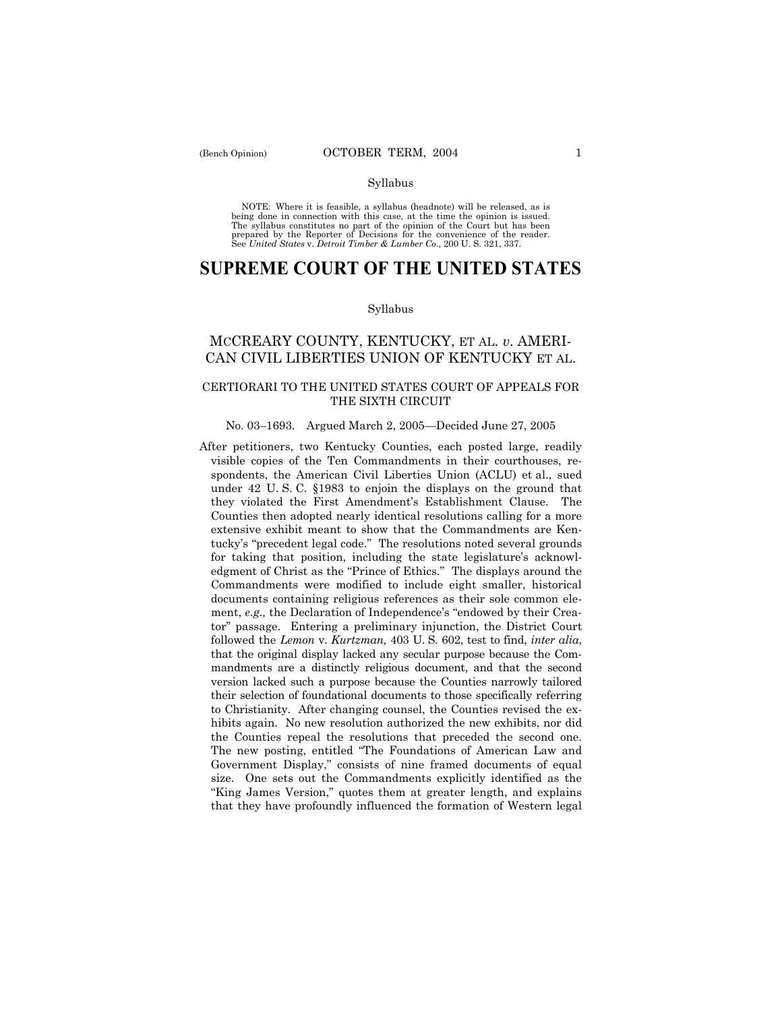#### Syllabus

NOTE: Where it is feasible, a syllabus (headnote) will be released, as is being done in connection with this case, at the time the opinion is issued. The syllabus constitutes no part of the opinion of the Court but has been<br>prepared by the Reporter of Decisions for the convenience of the reader.<br>See United States v. Detroit Timber & Lumber Co., 200 U. S. 321, 337.

# **SUPREME COURT OF THE UNITED STATES**

#### Syllabus

# MCCREARY COUNTY, KENTUCKY, ET AL. *v*. AMERI-CAN CIVIL LIBERTIES UNION OF KENTUCKY ET AL.

### CERTIORARI TO THE UNITED STATES COURT OF APPEALS FOR THE SIXTH CIRCUIT

#### No. 03–1693. Argued March 2, 2005–Decided June 27, 2005

After petitioners, two Kentucky Counties, each posted large, readily visible copies of the Ten Commandments in their courthouses, respondents, the American Civil Liberties Union (ACLU) et al., sued under 42 U. S. C. ß1983 to enjoin the displays on the ground that they violated the First Amendment's Establishment Clause. The Counties then adopted nearly identical resolutions calling for a more extensive exhibit meant to show that the Commandments are Kentucky's "precedent legal code." The resolutions noted several grounds for taking that position, including the state legislature's acknowledgment of Christ as the "Prince of Ethics." The displays around the Commandments were modified to include eight smaller, historical documents containing religious references as their sole common element, *e.g.*, the Declaration of Independence's "endowed by their Creator" passage. Entering a preliminary injunction, the District Court followed the *Lemon* v. *Kurtzman,* 403 U. S. 602, test to find, *inter alia*, that the original display lacked any secular purpose because the Commandments are a distinctly religious document, and that the second version lacked such a purpose because the Counties narrowly tailored their selection of foundational documents to those specifically referring to Christianity. After changing counsel, the Counties revised the exhibits again. No new resolution authorized the new exhibits, nor did the Counties repeal the resolutions that preceded the second one. The new posting, entitled "The Foundations of American Law and Government Display," consists of nine framed documents of equal size. One sets out the Commandments explicitly identified as the "King James Version," quotes them at greater length, and explains that they have profoundly influenced the formation of Western legal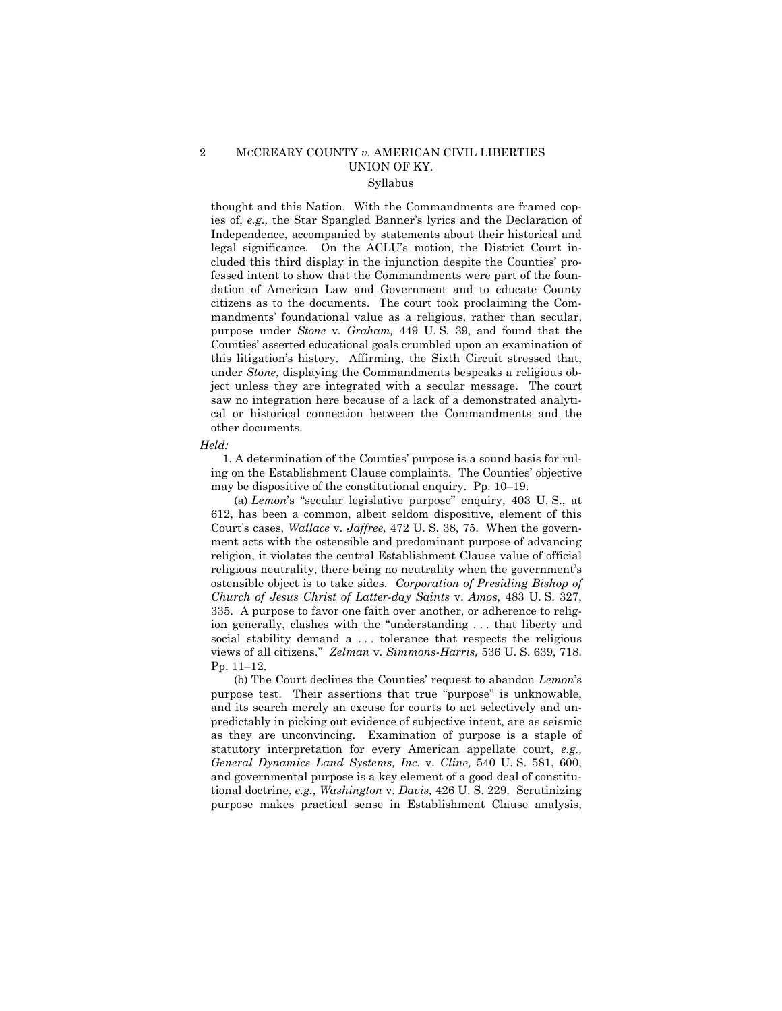# 2 MCCREARY COUNTY *v.* AMERICAN CIVIL LIBERTIES UNION OF KY. Syllabus

thought and this Nation. With the Commandments are framed copies of, *e.g.*, the Star Spangled Banner's lyrics and the Declaration of Independence, accompanied by statements about their historical and legal significance. On the ACLU's motion, the District Court included this third display in the injunction despite the Counties' professed intent to show that the Commandments were part of the foundation of American Law and Government and to educate County citizens as to the documents. The court took proclaiming the Commandments' foundational value as a religious, rather than secular, purpose under *Stone* v. *Graham,* 449 U. S. 39, and found that the Countiesí asserted educational goals crumbled upon an examination of this litigationís history. Affirming, the Sixth Circuit stressed that, under *Stone*, displaying the Commandments bespeaks a religious object unless they are integrated with a secular message. The court saw no integration here because of a lack of a demonstrated analytical or historical connection between the Commandments and the other documents.

#### *Held:*

 1. A determination of the Countiesí purpose is a sound basis for ruling on the Establishment Clause complaints. The Counties' objective may be dispositive of the constitutional enquiry. Pp. 10–19.

(a) *Lemon*'s "secular legislative purpose" enquiry, 403 U.S., at 612, has been a common, albeit seldom dispositive, element of this Court's cases, *Wallace* v. *Jaffree*, 472 U. S. 38, 75. When the government acts with the ostensible and predominant purpose of advancing religion, it violates the central Establishment Clause value of official religious neutrality, there being no neutrality when the government's ostensible object is to take sides. *Corporation of Presiding Bishop of Church of Jesus Christ of Latter-day Saints* v. *Amos,* 483 U. S. 327, 335. A purpose to favor one faith over another, or adherence to religion generally, clashes with the "understanding ... that liberty and social stability demand a ... tolerance that respects the religious views of all citizens.î *Zelman* v. *Simmons-Harris,* 536 U. S. 639, 718. Pp.  $11-12$ .

 (b) The Court declines the Countiesí request to abandon *Lemon*ís purpose test. Their assertions that true "purpose" is unknowable, and its search merely an excuse for courts to act selectively and unpredictably in picking out evidence of subjective intent, are as seismic as they are unconvincing. Examination of purpose is a staple of statutory interpretation for every American appellate court, *e.g., General Dynamics Land Systems, Inc.* v. *Cline,* 540 U. S. 581, 600, and governmental purpose is a key element of a good deal of constitutional doctrine, *e.g.*, *Washington* v. *Davis,* 426 U. S. 229. Scrutinizing purpose makes practical sense in Establishment Clause analysis,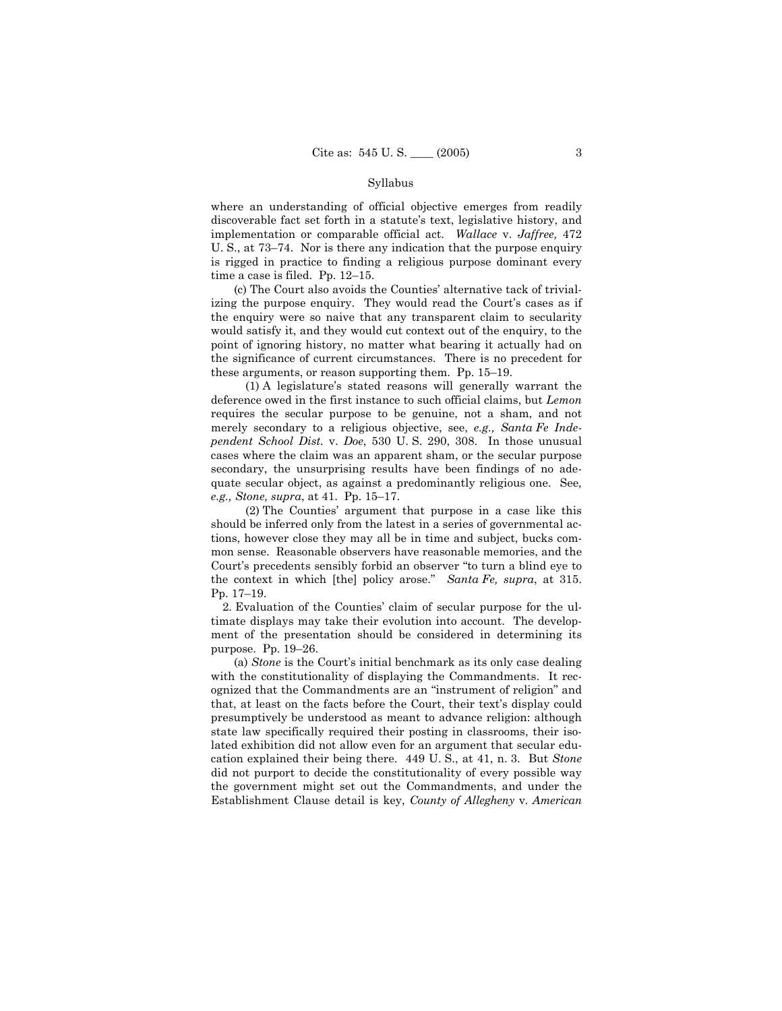#### Syllabus

where an understanding of official objective emerges from readily discoverable fact set forth in a statute's text, legislative history, and implementation or comparable official act. *Wallace* v. *Jaffree,* 472 U. S., at  $73-74$ . Nor is there any indication that the purpose enquiry is rigged in practice to finding a religious purpose dominant every time a case is filed. Pp.  $12-15$ .

 (c) The Court also avoids the Countiesí alternative tack of trivializing the purpose enquiry. They would read the Court's cases as if the enquiry were so naive that any transparent claim to secularity would satisfy it, and they would cut context out of the enquiry, to the point of ignoring history, no matter what bearing it actually had on the significance of current circumstances. There is no precedent for these arguments, or reason supporting them. Pp.  $15-19$ .

 (1) A legislatureís stated reasons will generally warrant the deference owed in the first instance to such official claims, but *Lemon* requires the secular purpose to be genuine, not a sham, and not merely secondary to a religious objective, see, *e.g., Santa Fe Independent School Dist.* v. *Doe*, 530 U. S. 290, 308. In those unusual cases where the claim was an apparent sham, or the secular purpose secondary, the unsurprising results have been findings of no adequate secular object, as against a predominantly religious one. See*, e.g., Stone, supra, at 41. Pp. 15-17.* 

 (2) The Countiesí argument that purpose in a case like this should be inferred only from the latest in a series of governmental actions, however close they may all be in time and subject, bucks common sense. Reasonable observers have reasonable memories, and the Court's precedents sensibly forbid an observer "to turn a blind eye to the context in which [the] policy arose.<sup>"</sup> *Santa Fe, supra,* at 315. Pp. 17-19.

2. Evaluation of the Counties' claim of secular purpose for the ultimate displays may take their evolution into account. The development of the presentation should be considered in determining its purpose. Pp.  $19-26$ .

(a) *Stone* is the Court's initial benchmark as its only case dealing with the constitutionality of displaying the Commandments. It recognized that the Commandments are an "instrument of religion" and that, at least on the facts before the Court, their text's display could presumptively be understood as meant to advance religion: although state law specifically required their posting in classrooms, their isolated exhibition did not allow even for an argument that secular education explained their being there. 449 U. S., at 41, n. 3. But *Stone* did not purport to decide the constitutionality of every possible way the government might set out the Commandments, and under the Establishment Clause detail is key, *County of Allegheny* v. *American*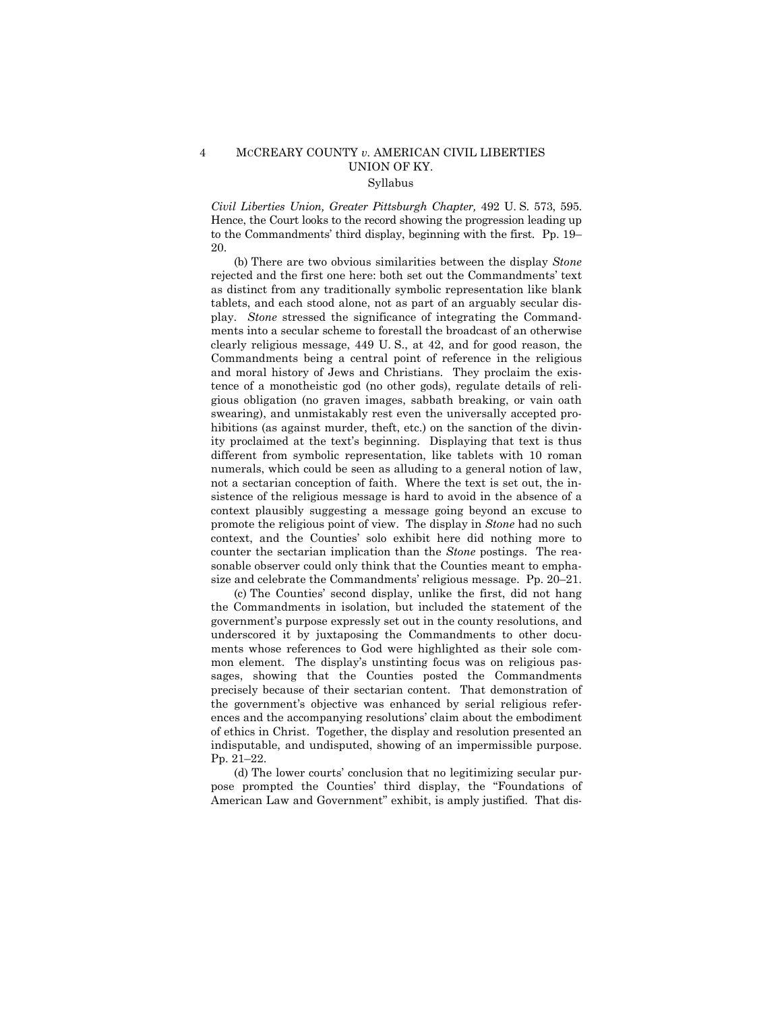# 4 MCCREARY COUNTY *v.* AMERICAN CIVIL LIBERTIES UNION OF KY. Syllabus

*Civil Liberties Union, Greater Pittsburgh Chapter,* 492 U. S. 573, 595. Hence, the Court looks to the record showing the progression leading up to the Commandments' third display, beginning with the first. Pp. 19– 20.

 (b) There are two obvious similarities between the display *Stone*  rejected and the first one here: both set out the Commandments' text as distinct from any traditionally symbolic representation like blank tablets, and each stood alone, not as part of an arguably secular display. *Stone* stressed the significance of integrating the Commandments into a secular scheme to forestall the broadcast of an otherwise clearly religious message, 449 U. S., at 42, and for good reason, the Commandments being a central point of reference in the religious and moral history of Jews and Christians. They proclaim the existence of a monotheistic god (no other gods), regulate details of religious obligation (no graven images, sabbath breaking, or vain oath swearing), and unmistakably rest even the universally accepted prohibitions (as against murder, theft, etc.) on the sanction of the divinity proclaimed at the text's beginning. Displaying that text is thus different from symbolic representation, like tablets with 10 roman numerals, which could be seen as alluding to a general notion of law, not a sectarian conception of faith.Where the text is set out, the insistence of the religious message is hard to avoid in the absence of a context plausibly suggesting a message going beyond an excuse to promote the religious point of view. The display in *Stone* had no such context, and the Counties' solo exhibit here did nothing more to counter the sectarian implication than the *Stone* postings. The reasonable observer could only think that the Counties meant to emphasize and celebrate the Commandments' religious message. Pp.  $20-21$ .

 (c) The Countiesí second display, unlike the first, did not hang the Commandments in isolation, but included the statement of the governmentís purpose expressly set out in the county resolutions, and underscored it by juxtaposing the Commandments to other documents whose references to God were highlighted as their sole common element. The display's unstinting focus was on religious passages, showing that the Counties posted the Commandments precisely because of their sectarian content. That demonstration of the governmentís objective was enhanced by serial religious references and the accompanying resolutions' claim about the embodiment of ethics in Christ. Together, the display and resolution presented an indisputable, and undisputed, showing of an impermissible purpose. Pp. 21-22.

(d) The lower courts' conclusion that no legitimizing secular purpose prompted the Counties' third display, the "Foundations of American Law and Government" exhibit, is amply justified. That dis-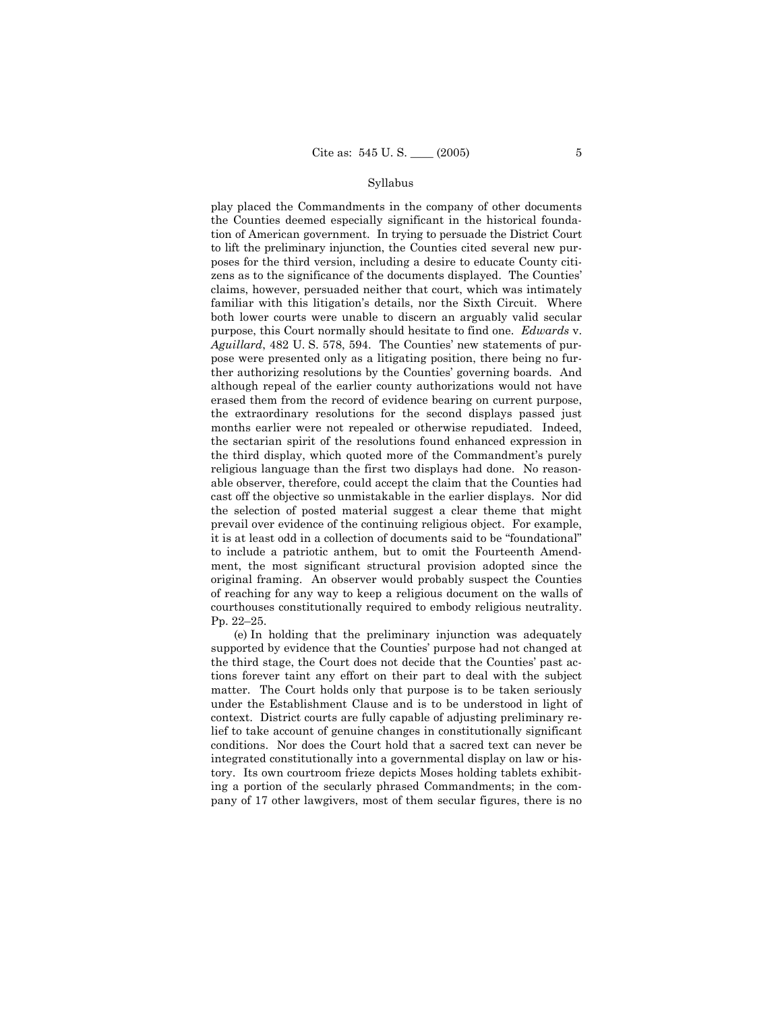#### Syllabus

play placed the Commandments in the company of other documents the Counties deemed especially significant in the historical foundation of American government. In trying to persuade the District Court to lift the preliminary injunction, the Counties cited several new purposes for the third version, including a desire to educate County citizens as to the significance of the documents displayed. The Counties' claims, however, persuaded neither that court, which was intimately familiar with this litigation's details, nor the Sixth Circuit. Where both lower courts were unable to discern an arguably valid secular purpose, this Court normally should hesitate to find one. *Edwards* v. *Aguillard*, 482 U. S. 578, 594. The Countiesí new statements of purpose were presented only as a litigating position, there being no further authorizing resolutions by the Counties' governing boards. And although repeal of the earlier county authorizations would not have erased them from the record of evidence bearing on current purpose, the extraordinary resolutions for the second displays passed just months earlier were not repealed or otherwise repudiated. Indeed, the sectarian spirit of the resolutions found enhanced expression in the third display, which quoted more of the Commandment's purely religious language than the first two displays had done. No reasonable observer, therefore, could accept the claim that the Counties had cast off the objective so unmistakable in the earlier displays. Nor did the selection of posted material suggest a clear theme that might prevail over evidence of the continuing religious object. For example, it is at least odd in a collection of documents said to be "foundational" to include a patriotic anthem, but to omit the Fourteenth Amendment, the most significant structural provision adopted since the original framing. An observer would probably suspect the Counties of reaching for any way to keep a religious document on the walls of courthouses constitutionally required to embody religious neutrality. Pp. 22-25.

 (e) In holding that the preliminary injunction was adequately supported by evidence that the Counties' purpose had not changed at the third stage, the Court does not decide that the Counties' past actions forever taint any effort on their part to deal with the subject matter. The Court holds only that purpose is to be taken seriously under the Establishment Clause and is to be understood in light of context. District courts are fully capable of adjusting preliminary relief to take account of genuine changes in constitutionally significant conditions. Nor does the Court hold that a sacred text can never be integrated constitutionally into a governmental display on law or history. Its own courtroom frieze depicts Moses holding tablets exhibiting a portion of the secularly phrased Commandments; in the company of 17 other lawgivers, most of them secular figures, there is no